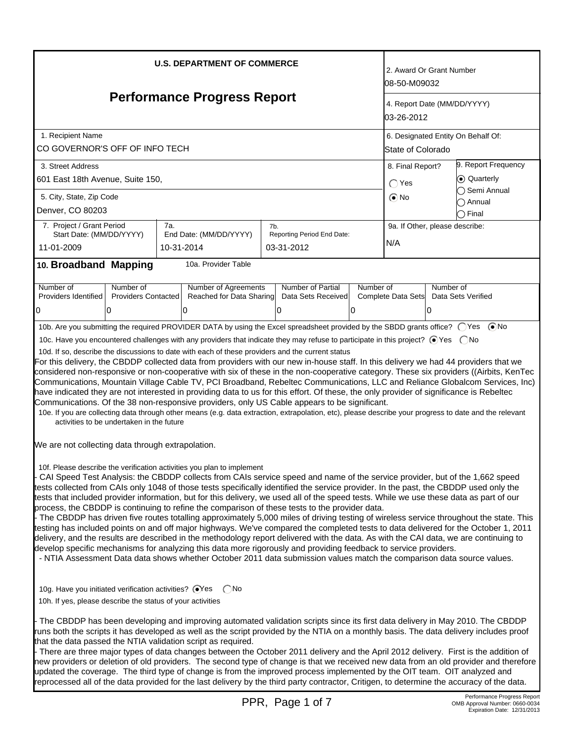| <b>U.S. DEPARTMENT OF COMMERCE</b>                                                                                                                                                                                                                                                                                                                                                                                                                                                                                                                                                                                                                                                                                                                                                                                                                                                                                                                                                                                                                                                                                                                                                                                                                                     |                                                                                                                                                                                                                                                                                                                                                                                                                                                                                                                                                                                                                                                                                                                                                                   |            |                                                                                                                                                                                                                                          |     |                            |                                           | 2. Award Or Grant Number<br>08-50-M09032 |           |                                     |
|------------------------------------------------------------------------------------------------------------------------------------------------------------------------------------------------------------------------------------------------------------------------------------------------------------------------------------------------------------------------------------------------------------------------------------------------------------------------------------------------------------------------------------------------------------------------------------------------------------------------------------------------------------------------------------------------------------------------------------------------------------------------------------------------------------------------------------------------------------------------------------------------------------------------------------------------------------------------------------------------------------------------------------------------------------------------------------------------------------------------------------------------------------------------------------------------------------------------------------------------------------------------|-------------------------------------------------------------------------------------------------------------------------------------------------------------------------------------------------------------------------------------------------------------------------------------------------------------------------------------------------------------------------------------------------------------------------------------------------------------------------------------------------------------------------------------------------------------------------------------------------------------------------------------------------------------------------------------------------------------------------------------------------------------------|------------|------------------------------------------------------------------------------------------------------------------------------------------------------------------------------------------------------------------------------------------|-----|----------------------------|-------------------------------------------|------------------------------------------|-----------|-------------------------------------|
| <b>Performance Progress Report</b>                                                                                                                                                                                                                                                                                                                                                                                                                                                                                                                                                                                                                                                                                                                                                                                                                                                                                                                                                                                                                                                                                                                                                                                                                                     |                                                                                                                                                                                                                                                                                                                                                                                                                                                                                                                                                                                                                                                                                                                                                                   |            |                                                                                                                                                                                                                                          |     |                            | 4. Report Date (MM/DD/YYYY)<br>03-26-2012 |                                          |           |                                     |
| 1. Recipient Name                                                                                                                                                                                                                                                                                                                                                                                                                                                                                                                                                                                                                                                                                                                                                                                                                                                                                                                                                                                                                                                                                                                                                                                                                                                      |                                                                                                                                                                                                                                                                                                                                                                                                                                                                                                                                                                                                                                                                                                                                                                   |            |                                                                                                                                                                                                                                          |     |                            |                                           | 6. Designated Entity On Behalf Of:       |           |                                     |
| CO GOVERNOR'S OFF OF INFO TECH                                                                                                                                                                                                                                                                                                                                                                                                                                                                                                                                                                                                                                                                                                                                                                                                                                                                                                                                                                                                                                                                                                                                                                                                                                         |                                                                                                                                                                                                                                                                                                                                                                                                                                                                                                                                                                                                                                                                                                                                                                   |            |                                                                                                                                                                                                                                          |     |                            |                                           | State of Colorado                        |           |                                     |
| 3. Street Address                                                                                                                                                                                                                                                                                                                                                                                                                                                                                                                                                                                                                                                                                                                                                                                                                                                                                                                                                                                                                                                                                                                                                                                                                                                      |                                                                                                                                                                                                                                                                                                                                                                                                                                                                                                                                                                                                                                                                                                                                                                   |            |                                                                                                                                                                                                                                          |     |                            |                                           | 9. Report Frequency<br>8. Final Report?  |           |                                     |
| 601 East 18th Avenue, Suite 150,                                                                                                                                                                                                                                                                                                                                                                                                                                                                                                                                                                                                                                                                                                                                                                                                                                                                                                                                                                                                                                                                                                                                                                                                                                       |                                                                                                                                                                                                                                                                                                                                                                                                                                                                                                                                                                                                                                                                                                                                                                   |            |                                                                                                                                                                                                                                          |     |                            |                                           | C Quarterly<br>$\bigcap$ Yes             |           |                                     |
| 5. City, State, Zip Code                                                                                                                                                                                                                                                                                                                                                                                                                                                                                                                                                                                                                                                                                                                                                                                                                                                                                                                                                                                                                                                                                                                                                                                                                                               |                                                                                                                                                                                                                                                                                                                                                                                                                                                                                                                                                                                                                                                                                                                                                                   |            |                                                                                                                                                                                                                                          |     |                            |                                           | $\odot$ No                               |           | ◯ Semi Annual                       |
| Denver, CO 80203                                                                                                                                                                                                                                                                                                                                                                                                                                                                                                                                                                                                                                                                                                                                                                                                                                                                                                                                                                                                                                                                                                                                                                                                                                                       |                                                                                                                                                                                                                                                                                                                                                                                                                                                                                                                                                                                                                                                                                                                                                                   |            |                                                                                                                                                                                                                                          |     |                            |                                           |                                          |           | $\bigcap$ Annual<br>$\bigcap$ Final |
| 7. Project / Grant Period                                                                                                                                                                                                                                                                                                                                                                                                                                                                                                                                                                                                                                                                                                                                                                                                                                                                                                                                                                                                                                                                                                                                                                                                                                              |                                                                                                                                                                                                                                                                                                                                                                                                                                                                                                                                                                                                                                                                                                                                                                   | 7a.        |                                                                                                                                                                                                                                          | 7b. |                            |                                           | 9a. If Other, please describe:           |           |                                     |
| Start Date: (MM/DD/YYYY)                                                                                                                                                                                                                                                                                                                                                                                                                                                                                                                                                                                                                                                                                                                                                                                                                                                                                                                                                                                                                                                                                                                                                                                                                                               |                                                                                                                                                                                                                                                                                                                                                                                                                                                                                                                                                                                                                                                                                                                                                                   |            | End Date: (MM/DD/YYYY)                                                                                                                                                                                                                   |     | Reporting Period End Date: |                                           | N/A                                      |           |                                     |
| 11-01-2009                                                                                                                                                                                                                                                                                                                                                                                                                                                                                                                                                                                                                                                                                                                                                                                                                                                                                                                                                                                                                                                                                                                                                                                                                                                             |                                                                                                                                                                                                                                                                                                                                                                                                                                                                                                                                                                                                                                                                                                                                                                   | 10-31-2014 |                                                                                                                                                                                                                                          |     | 03-31-2012                 |                                           |                                          |           |                                     |
| 10. Broadband Mapping                                                                                                                                                                                                                                                                                                                                                                                                                                                                                                                                                                                                                                                                                                                                                                                                                                                                                                                                                                                                                                                                                                                                                                                                                                                  |                                                                                                                                                                                                                                                                                                                                                                                                                                                                                                                                                                                                                                                                                                                                                                   |            | 10a. Provider Table                                                                                                                                                                                                                      |     |                            |                                           |                                          |           |                                     |
| Number of                                                                                                                                                                                                                                                                                                                                                                                                                                                                                                                                                                                                                                                                                                                                                                                                                                                                                                                                                                                                                                                                                                                                                                                                                                                              | Number of                                                                                                                                                                                                                                                                                                                                                                                                                                                                                                                                                                                                                                                                                                                                                         |            | Number of Agreements                                                                                                                                                                                                                     |     | Number of Partial          | Number of                                 |                                          | Number of |                                     |
| Providers Identified                                                                                                                                                                                                                                                                                                                                                                                                                                                                                                                                                                                                                                                                                                                                                                                                                                                                                                                                                                                                                                                                                                                                                                                                                                                   | <b>Providers Contacted</b>                                                                                                                                                                                                                                                                                                                                                                                                                                                                                                                                                                                                                                                                                                                                        |            | Reached for Data Sharing                                                                                                                                                                                                                 |     | Data Sets Received         |                                           | Complete Data Sets                       |           | Data Sets Verified                  |
| 0                                                                                                                                                                                                                                                                                                                                                                                                                                                                                                                                                                                                                                                                                                                                                                                                                                                                                                                                                                                                                                                                                                                                                                                                                                                                      | 0                                                                                                                                                                                                                                                                                                                                                                                                                                                                                                                                                                                                                                                                                                                                                                 |            | 0                                                                                                                                                                                                                                        |     | 0                          | 0                                         |                                          | ΙO        |                                     |
|                                                                                                                                                                                                                                                                                                                                                                                                                                                                                                                                                                                                                                                                                                                                                                                                                                                                                                                                                                                                                                                                                                                                                                                                                                                                        |                                                                                                                                                                                                                                                                                                                                                                                                                                                                                                                                                                                                                                                                                                                                                                   |            | 10b. Are you submitting the required PROVIDER DATA by using the Excel spreadsheet provided by the SBDD grants office? ○Yes ●No                                                                                                           |     |                            |                                           |                                          |           |                                     |
|                                                                                                                                                                                                                                                                                                                                                                                                                                                                                                                                                                                                                                                                                                                                                                                                                                                                                                                                                                                                                                                                                                                                                                                                                                                                        |                                                                                                                                                                                                                                                                                                                                                                                                                                                                                                                                                                                                                                                                                                                                                                   |            | 10c. Have you encountered challenges with any providers that indicate they may refuse to participate in this project? ⊙ Yes  ONo                                                                                                         |     |                            |                                           |                                          |           |                                     |
|                                                                                                                                                                                                                                                                                                                                                                                                                                                                                                                                                                                                                                                                                                                                                                                                                                                                                                                                                                                                                                                                                                                                                                                                                                                                        |                                                                                                                                                                                                                                                                                                                                                                                                                                                                                                                                                                                                                                                                                                                                                                   |            | 10d. If so, describe the discussions to date with each of these providers and the current status<br>For this delivery, the CBDDP collected data from providers with our new in-house staff. In this delivery we had 44 providers that we |     |                            |                                           |                                          |           |                                     |
|                                                                                                                                                                                                                                                                                                                                                                                                                                                                                                                                                                                                                                                                                                                                                                                                                                                                                                                                                                                                                                                                                                                                                                                                                                                                        | considered non-responsive or non-cooperative with six of these in the non-cooperative category. These six providers ((Airbits, KenTec<br>Communications, Mountain Village Cable TV, PCI Broadband, Rebeltec Communications, LLC and Reliance Globalcom Services, Inc)<br>have indicated they are not interested in providing data to us for this effort. Of these, the only provider of significance is Rebeltec<br>Communications. Of the 38 non-responsive providers, only US Cable appears to be significant.<br>10e. If you are collecting data through other means (e.g. data extraction, extrapolation, etc), please describe your progress to date and the relevant<br>activities to be undertaken in the future                                           |            |                                                                                                                                                                                                                                          |     |                            |                                           |                                          |           |                                     |
| We are not collecting data through extrapolation.                                                                                                                                                                                                                                                                                                                                                                                                                                                                                                                                                                                                                                                                                                                                                                                                                                                                                                                                                                                                                                                                                                                                                                                                                      |                                                                                                                                                                                                                                                                                                                                                                                                                                                                                                                                                                                                                                                                                                                                                                   |            |                                                                                                                                                                                                                                          |     |                            |                                           |                                          |           |                                     |
| 10f. Please describe the verification activities you plan to implement<br>CAI Speed Test Analysis: the CBDDP collects from CAIs service speed and name of the service provider, but of the 1,662 speed<br>tests collected from CAIs only 1048 of those tests specifically identified the service provider. In the past, the CBDDP used only the<br>tests that included provider information, but for this delivery, we used all of the speed tests. While we use these data as part of our<br>process, the CBDDP is continuing to refine the comparison of these tests to the provider data.<br>- The CBDDP has driven five routes totalling approximately 5,000 miles of driving testing of wireless service throughout the state. This<br>testing has included points on and off major highways. We've compared the completed tests to data delivered for the October 1, 2011<br>delivery, and the results are described in the methodology report delivered with the data. As with the CAI data, we are continuing to<br>develop specific mechanisms for analyzing this data more rigorously and providing feedback to service providers.<br>- NTIA Assessment Data data shows whether October 2011 data submission values match the comparison data source values. |                                                                                                                                                                                                                                                                                                                                                                                                                                                                                                                                                                                                                                                                                                                                                                   |            |                                                                                                                                                                                                                                          |     |                            |                                           |                                          |           |                                     |
| 10g. Have you initiated verification activities? OYes<br>( )No<br>10h. If yes, please describe the status of your activities<br>The CBDDP has been developing and improving automated validation scripts since its first data delivery in May 2010. The CBDDP                                                                                                                                                                                                                                                                                                                                                                                                                                                                                                                                                                                                                                                                                                                                                                                                                                                                                                                                                                                                          |                                                                                                                                                                                                                                                                                                                                                                                                                                                                                                                                                                                                                                                                                                                                                                   |            |                                                                                                                                                                                                                                          |     |                            |                                           |                                          |           |                                     |
|                                                                                                                                                                                                                                                                                                                                                                                                                                                                                                                                                                                                                                                                                                                                                                                                                                                                                                                                                                                                                                                                                                                                                                                                                                                                        | runs both the scripts it has developed as well as the script provided by the NTIA on a monthly basis. The data delivery includes proof<br>that the data passed the NTIA validation script as required.<br>There are three major types of data changes between the October 2011 delivery and the April 2012 delivery. First is the addition of<br>new providers or deletion of old providers. The second type of change is that we received new data from an old provider and therefore<br>updated the coverage. The third type of change is from the improved process implemented by the OIT team. OIT analyzed and<br>reprocessed all of the data provided for the last delivery by the third party contractor, Critigen, to determine the accuracy of the data. |            |                                                                                                                                                                                                                                          |     |                            |                                           |                                          |           |                                     |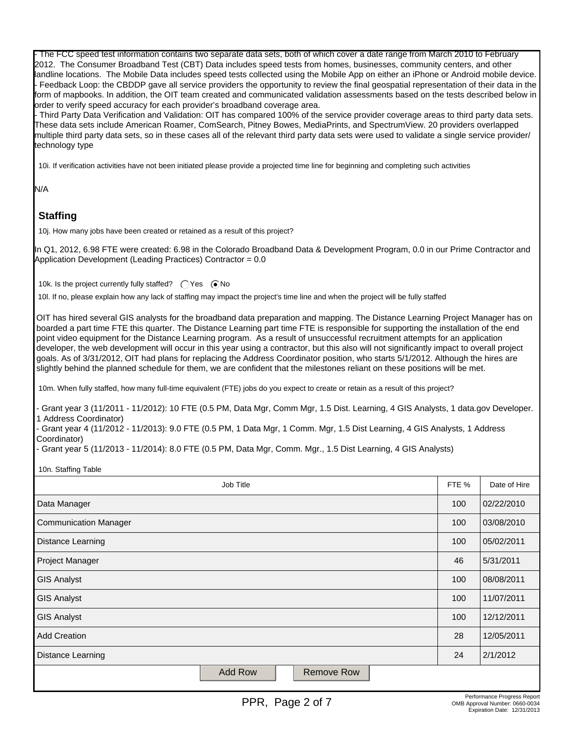- The FCC speed test information contains two separate data sets, both of which cover a date range from March 2010 to February 2012. The Consumer Broadband Test (CBT) Data includes speed tests from homes, businesses, community centers, and other landline locations. The Mobile Data includes speed tests collected using the Mobile App on either an iPhone or Android mobile device. - Feedback Loop: the CBDDP gave all service providers the opportunity to review the final geospatial representation of their data in the form of mapbooks. In addition, the OIT team created and communicated validation assessments based on the tests described below in order to verify speed accuracy for each provider's broadband coverage area.

- Third Party Data Verification and Validation: OIT has compared 100% of the service provider coverage areas to third party data sets. These data sets include American Roamer, ComSearch, Pitney Bowes, MediaPrints, and SpectrumView. 20 providers overlapped multiple third party data sets, so in these cases all of the relevant third party data sets were used to validate a single service provider/ technology type

10i. If verification activities have not been initiated please provide a projected time line for beginning and completing such activities

N/A

## **Staffing**

10j. How many jobs have been created or retained as a result of this project?

In Q1, 2012, 6.98 FTE were created: 6.98 in the Colorado Broadband Data & Development Program, 0.0 in our Prime Contractor and Application Development (Leading Practices) Contractor = 0.0

10k. Is the project currently fully staffed?  $\bigcirc$  Yes  $\bigcirc$  No

10l. If no, please explain how any lack of staffing may impact the project's time line and when the project will be fully staffed

OIT has hired several GIS analysts for the broadband data preparation and mapping. The Distance Learning Project Manager has on boarded a part time FTE this quarter. The Distance Learning part time FTE is responsible for supporting the installation of the end point video equipment for the Distance Learning program. As a result of unsuccessful recruitment attempts for an application developer, the web development will occur in this year using a contractor, but this also will not significantly impact to overall project goals. As of 3/31/2012, OIT had plans for replacing the Address Coordinator position, who starts 5/1/2012. Although the hires are slightly behind the planned schedule for them, we are confident that the milestones reliant on these positions will be met.

10m. When fully staffed, how many full-time equivalent (FTE) jobs do you expect to create or retain as a result of this project?

- Grant year 3 (11/2011 - 11/2012): 10 FTE (0.5 PM, Data Mgr, Comm Mgr, 1.5 Dist. Learning, 4 GIS Analysts, 1 data.gov Developer. 1 Address Coordinator)

- Grant year 4 (11/2012 - 11/2013): 9.0 FTE (0.5 PM, 1 Data Mgr, 1 Comm. Mgr, 1.5 Dist Learning, 4 GIS Analysts, 1 Address Coordinator)

- Grant year 5 (11/2013 - 11/2014): 8.0 FTE (0.5 PM, Data Mgr, Comm. Mgr., 1.5 Dist Learning, 4 GIS Analysts)

10n. Staffing Table

| Job Title                           | FTE % | Date of Hire |
|-------------------------------------|-------|--------------|
| Data Manager                        | 100   | 02/22/2010   |
| <b>Communication Manager</b>        | 100   | 03/08/2010   |
| <b>Distance Learning</b>            | 100   | 05/02/2011   |
| Project Manager                     | 46    | 5/31/2011    |
| <b>GIS Analyst</b>                  | 100   | 08/08/2011   |
| <b>GIS Analyst</b>                  | 100   | 11/07/2011   |
| <b>GIS Analyst</b>                  | 100   | 12/12/2011   |
| <b>Add Creation</b>                 | 28    | 12/05/2011   |
| <b>Distance Learning</b>            | 24    | 2/1/2012     |
| <b>Add Row</b><br><b>Remove Row</b> |       |              |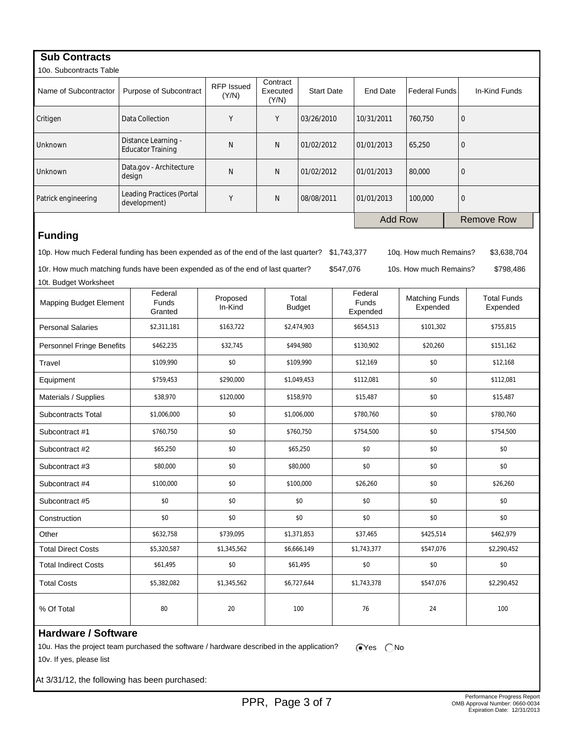| <b>Sub Contracts</b>          |                                                                                           |                            |                               |                        |             |                                     |                                   |                  |                                |  |
|-------------------------------|-------------------------------------------------------------------------------------------|----------------------------|-------------------------------|------------------------|-------------|-------------------------------------|-----------------------------------|------------------|--------------------------------|--|
| 10o. Subcontracts Table       |                                                                                           |                            |                               |                        |             |                                     |                                   |                  |                                |  |
| Name of Subcontractor         | Purpose of Subcontract                                                                    | <b>RFP Issued</b><br>(Y/N) | Contract<br>Executed<br>(Y/N) | <b>Start Date</b>      |             | <b>End Date</b>                     | <b>Federal Funds</b>              |                  | In-Kind Funds                  |  |
| Critigen                      | Data Collection                                                                           |                            | Y                             | 03/26/2010             |             | 10/31/2011                          | $\mathbf{0}$<br>760,750           |                  |                                |  |
| Unknown                       | Distance Learning -<br><b>Educator Training</b>                                           | N                          | N                             | 01/02/2012             |             | 01/01/2013                          | 65,250<br>$\mathbf{0}$            |                  |                                |  |
| Unknown                       | Data.gov - Architecture<br>design                                                         | N                          | N                             | 01/02/2012             |             | 01/01/2013                          | 80,000                            |                  | $\mathbf 0$                    |  |
| Patrick engineering           | <b>Leading Practices (Portal</b><br>development)                                          |                            | N                             | 08/08/2011             |             | 01/01/2013                          | 100,000                           | $\boldsymbol{0}$ |                                |  |
|                               |                                                                                           |                            |                               |                        |             | <b>Add Row</b>                      |                                   |                  | <b>Remove Row</b>              |  |
| <b>Funding</b>                |                                                                                           |                            |                               |                        |             |                                     |                                   |                  |                                |  |
|                               | 10p. How much Federal funding has been expended as of the end of the last quarter?        |                            |                               |                        | \$1,743,377 |                                     | 10q. How much Remains?            |                  | \$3,638,704                    |  |
|                               | 10r. How much matching funds have been expended as of the end of last quarter?            |                            |                               |                        | \$547,076   |                                     | 10s. How much Remains?            |                  | \$798,486                      |  |
| 10t. Budget Worksheet         |                                                                                           |                            |                               |                        |             |                                     |                                   |                  |                                |  |
| <b>Mapping Budget Element</b> | Federal<br><b>Funds</b><br>Granted                                                        | Proposed<br>In-Kind        |                               | Total<br><b>Budget</b> |             | Federal<br><b>Funds</b><br>Expended | <b>Matching Funds</b><br>Expended |                  | <b>Total Funds</b><br>Expended |  |
| <b>Personal Salaries</b>      | \$2,311,181                                                                               | \$163,722                  |                               | \$2,474,903            | \$654,513   |                                     | \$101,302                         |                  | \$755,815                      |  |
| Personnel Fringe Benefits     | \$462,235                                                                                 | \$32,745                   |                               | \$494,980              | \$130,902   |                                     | \$20,260                          |                  | \$151,162                      |  |
| Travel                        | \$109,990                                                                                 | \$0                        |                               | \$109,990              |             | \$12,169                            | \$0                               |                  | \$12,168                       |  |
| Equipment                     | \$759,453                                                                                 | \$290,000                  |                               | \$1,049,453            |             | \$112,081                           | \$0                               |                  | \$112,081                      |  |
| Materials / Supplies          | \$38,970                                                                                  | \$120,000                  |                               | \$158,970              |             | \$15,487                            | \$0                               |                  | \$15,487                       |  |
| Subcontracts Total            | \$1,006,000                                                                               | \$0                        |                               | \$1,006,000            |             | \$780,760                           | \$0                               |                  | \$780,760                      |  |
| Subcontract #1                | \$760,750                                                                                 | \$0                        |                               | \$760,750              |             | \$754,500                           | \$0                               |                  | \$754,500                      |  |
| Subcontract #2                | \$65,250                                                                                  | \$0                        |                               | \$65,250<br>\$0        |             |                                     | \$0                               |                  | \$0                            |  |
| Subcontract #3                | \$80,000                                                                                  | \$0                        |                               | \$80,000               |             | \$0                                 | \$0                               |                  | \$0                            |  |
| Subcontract #4                | \$100,000                                                                                 | \$0                        | \$100,000                     |                        |             | \$26,260                            | \$0                               |                  | \$26,260                       |  |
| Subcontract #5                | \$0                                                                                       | \$0                        | \$0                           |                        | \$0         |                                     | \$0                               |                  | \$0                            |  |
| Construction                  | \$0                                                                                       | \$0                        |                               | \$0                    |             | \$0                                 | \$0                               |                  | \$0                            |  |
| Other                         | \$632,758                                                                                 | \$739,095                  |                               | \$1,371,853            |             | \$37,465                            | \$425,514                         |                  | \$462,979                      |  |
| <b>Total Direct Costs</b>     | \$5,320,587                                                                               | \$1,345,562                | \$6,666,149                   |                        | \$1,743,377 |                                     | \$547,076                         |                  | \$2,290,452                    |  |
| <b>Total Indirect Costs</b>   | \$61,495                                                                                  | \$0                        | \$61,495                      |                        | \$0         |                                     | \$0                               |                  | \$0                            |  |
| <b>Total Costs</b>            | \$5,382,082                                                                               | \$1,345,562                |                               | \$6,727,644            |             | \$1,743,378                         | \$547,076                         |                  | \$2,290,452                    |  |
| % Of Total                    | 80                                                                                        | 20                         | 100                           |                        | 76          |                                     | 24                                |                  | 100                            |  |
| <b>Hardware / Software</b>    |                                                                                           |                            |                               |                        |             |                                     |                                   |                  |                                |  |
|                               | 10u. Has the project team purchased the software / hardware described in the application? |                            |                               |                        |             | $\odot$ Yes<br>( No                 |                                   |                  |                                |  |
| 10v. If yes, please list      |                                                                                           |                            |                               |                        |             |                                     |                                   |                  |                                |  |

At 3/31/12, the following has been purchased: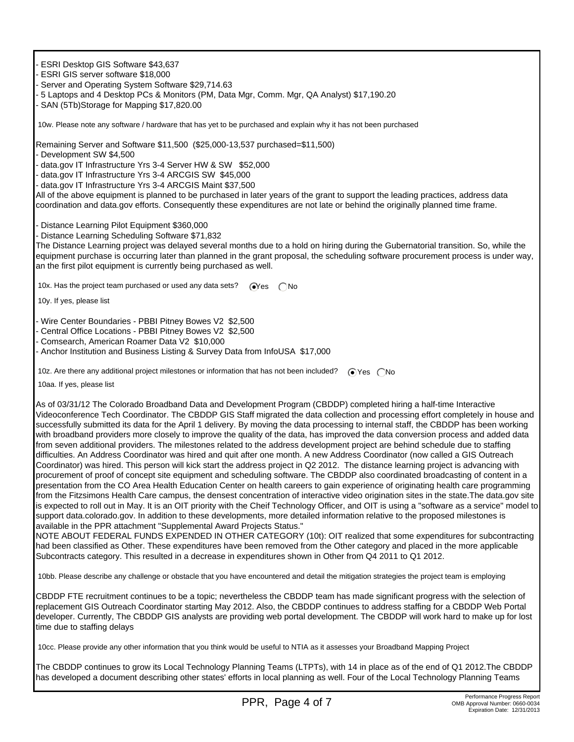- ESRI Desktop GIS Software \$43,637

- ESRI GIS server software \$18,000
- Server and Operating System Software \$29,714.63
- 5 Laptops and 4 Desktop PCs & Monitors (PM, Data Mgr, Comm. Mgr, QA Analyst) \$17,190.20

- SAN (5Tb)Storage for Mapping \$17,820.00

10w. Please note any software / hardware that has yet to be purchased and explain why it has not been purchased

Remaining Server and Software \$11,500 (\$25,000-13,537 purchased=\$11,500)

- Development SW \$4,500

- data.gov IT Infrastructure Yrs 3-4 Server HW & SW \$52,000

- data.gov IT Infrastructure Yrs 3-4 ARCGIS SW \$45,000

- data.gov IT Infrastructure Yrs 3-4 ARCGIS Maint \$37,500

All of the above equipment is planned to be purchased in later years of the grant to support the leading practices, address data coordination and data.gov efforts. Consequently these expenditures are not late or behind the originally planned time frame.

- Distance Learning Pilot Equipment \$360,000
- Distance Learning Scheduling Software \$71,832

The Distance Learning project was delayed several months due to a hold on hiring during the Gubernatorial transition. So, while the equipment purchase is occurring later than planned in the grant proposal, the scheduling software procurement process is under way, an the first pilot equipment is currently being purchased as well.

10x. Has the project team purchased or used any data sets?  $\bigcirc$ Yes  $\bigcirc$ No

10y. If yes, please list

- Wire Center Boundaries - PBBI Pitney Bowes V2 \$2,500

- Central Office Locations - PBBI Pitney Bowes V2 \$2,500

- Comsearch, American Roamer Data V2 \$10,000

- Anchor Institution and Business Listing & Survey Data from InfoUSA \$17,000

10z. Are there any additional project milestones or information that has not been included?  $\bigcirc$  Yes  $\bigcirc$  No

10aa. If yes, please list

As of 03/31/12 The Colorado Broadband Data and Development Program (CBDDP) completed hiring a half-time Interactive Videoconference Tech Coordinator. The CBDDP GIS Staff migrated the data collection and processing effort completely in house and successfully submitted its data for the April 1 delivery. By moving the data processing to internal staff, the CBDDP has been working with broadband providers more closely to improve the quality of the data, has improved the data conversion process and added data from seven additional providers. The milestones related to the address development project are behind schedule due to staffing difficulties. An Address Coordinator was hired and quit after one month. A new Address Coordinator (now called a GIS Outreach Coordinator) was hired. This person will kick start the address project in Q2 2012. The distance learning project is advancing with procurement of proof of concept site equipment and scheduling software. The CBDDP also coordinated broadcasting of content in a presentation from the CO Area Health Education Center on health careers to gain experience of originating health care programming from the Fitzsimons Health Care campus, the densest concentration of interactive video origination sites in the state.The data.gov site is expected to roll out in May. It is an OIT priority with the Cheif Technology Officer, and OIT is using a "software as a service" model to support data.colorado.gov. In addition to these developments, more detailed information relative to the proposed milestones is available in the PPR attachment "Supplemental Award Projects Status."

NOTE ABOUT FEDERAL FUNDS EXPENDED IN OTHER CATEGORY (10t): OIT realized that some expenditures for subcontracting had been classified as Other. These expenditures have been removed from the Other category and placed in the more applicable Subcontracts category. This resulted in a decrease in expenditures shown in Other from Q4 2011 to Q1 2012.

10bb. Please describe any challenge or obstacle that you have encountered and detail the mitigation strategies the project team is employing

CBDDP FTE recruitment continues to be a topic; nevertheless the CBDDP team has made significant progress with the selection of replacement GIS Outreach Coordinator starting May 2012. Also, the CBDDP continues to address staffing for a CBDDP Web Portal developer. Currently, The CBDDP GIS analysts are providing web portal development. The CBDDP will work hard to make up for lost time due to staffing delays

10cc. Please provide any other information that you think would be useful to NTIA as it assesses your Broadband Mapping Project

The CBDDP continues to grow its Local Technology Planning Teams (LTPTs), with 14 in place as of the end of Q1 2012.The CBDDP has developed a document describing other states' efforts in local planning as well. Four of the Local Technology Planning Teams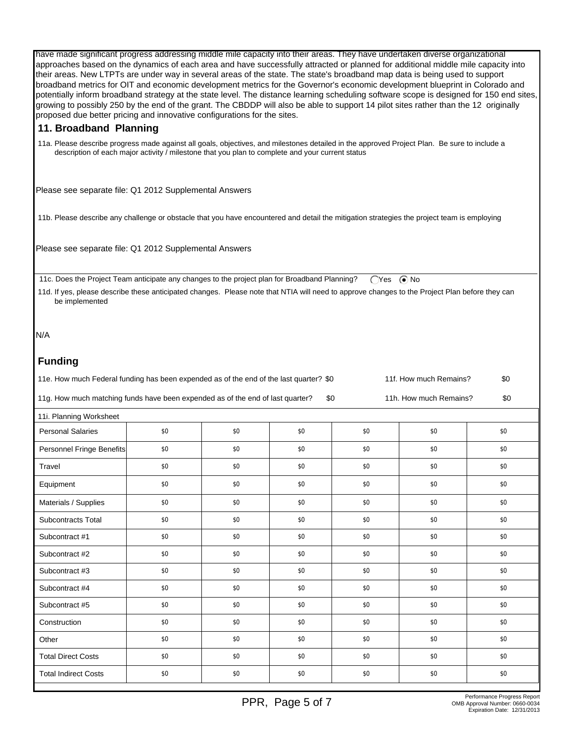have made significant progress addressing middle mile capacity into their areas. They have undertaken diverse organizational approaches based on the dynamics of each area and have successfully attracted or planned for additional middle mile capacity into their areas. New LTPTs are under way in several areas of the state. The state's broadband map data is being used to support broadband metrics for OIT and economic development metrics for the Governor's economic development blueprint in Colorado and potentially inform broadband strategy at the state level. The distance learning scheduling software scope is designed for 150 end sites, growing to possibly 250 by the end of the grant. The CBDDP will also be able to support 14 pilot sites rather than the 12 originally proposed due better pricing and innovative configurations for the sites.

## **11. Broadband Planning**

 11a. Please describe progress made against all goals, objectives, and milestones detailed in the approved Project Plan. Be sure to include a description of each major activity / milestone that you plan to complete and your current status

Please see separate file: Q1 2012 Supplemental Answers

11b. Please describe any challenge or obstacle that you have encountered and detail the mitigation strategies the project team is employing

Please see separate file: Q1 2012 Supplemental Answers

11c. Does the Project Team anticipate any changes to the project plan for Broadband Planning? (Yes ( $\bullet$  No

 11d. If yes, please describe these anticipated changes. Please note that NTIA will need to approve changes to the Project Plan before they can be implemented

N/A

## **Funding**

| 11e. How much Federal funding has been expended as of the end of the last quarter? \$0 | 11f. How much Remains? | \$0                    |     |
|----------------------------------------------------------------------------------------|------------------------|------------------------|-----|
| 11g. How much matching funds have been expended as of the end of last quarter?         |                        | 11h. How much Remains? | \$0 |

| 11i. Planning Worksheet<br><b>Personal Salaries</b><br>\$0<br>\$0<br>\$0<br>\$0<br>\$0<br>\$0<br>\$0<br>Personnel Fringe Benefits<br>\$0<br>\$0<br>\$0<br>\$0<br>\$0<br>\$0<br>\$0<br>\$0<br>\$0<br>\$0<br>\$0<br>Travel<br>\$0<br>\$0<br>\$0<br>\$0<br>\$0<br>\$0<br>Equipment<br>Materials / Supplies<br>\$0<br>\$0<br>\$0<br>\$0<br>\$0<br>\$0<br>Subcontracts Total<br>\$0<br>\$0<br>\$0<br>\$0<br>\$0<br>\$0<br>\$0<br>\$0<br>\$0<br>\$0<br>\$0<br>\$0<br>Subcontract #1<br>\$0<br>Subcontract #2<br>\$0<br>\$0<br>\$0<br>\$0<br>\$0<br>Subcontract #3<br>\$0<br>\$0<br>\$0<br>\$0<br>\$0<br>\$0<br>\$0<br>\$0<br>\$0<br>\$0<br>\$0<br>\$0<br>Subcontract #4<br>Subcontract #5<br>\$0<br>\$0<br>\$0<br>\$0<br>\$0<br>\$0<br>\$0<br>\$0<br>\$0<br>\$0<br>\$0<br>\$0<br>Construction<br>\$0<br>\$0<br>\$0<br>\$0<br>\$0<br>\$0<br>Other<br><b>Total Direct Costs</b><br>\$0<br>\$0<br>\$0<br>\$0<br>\$0<br>\$0<br><b>Total Indirect Costs</b><br>\$0<br>\$0<br>\$0<br>\$0<br>\$0<br>\$0 |  |  |  |  |  |  |  |  |  |
|--------------------------------------------------------------------------------------------------------------------------------------------------------------------------------------------------------------------------------------------------------------------------------------------------------------------------------------------------------------------------------------------------------------------------------------------------------------------------------------------------------------------------------------------------------------------------------------------------------------------------------------------------------------------------------------------------------------------------------------------------------------------------------------------------------------------------------------------------------------------------------------------------------------------------------------------------------------------------------------------|--|--|--|--|--|--|--|--|--|
|                                                                                                                                                                                                                                                                                                                                                                                                                                                                                                                                                                                                                                                                                                                                                                                                                                                                                                                                                                                            |  |  |  |  |  |  |  |  |  |
|                                                                                                                                                                                                                                                                                                                                                                                                                                                                                                                                                                                                                                                                                                                                                                                                                                                                                                                                                                                            |  |  |  |  |  |  |  |  |  |
|                                                                                                                                                                                                                                                                                                                                                                                                                                                                                                                                                                                                                                                                                                                                                                                                                                                                                                                                                                                            |  |  |  |  |  |  |  |  |  |
|                                                                                                                                                                                                                                                                                                                                                                                                                                                                                                                                                                                                                                                                                                                                                                                                                                                                                                                                                                                            |  |  |  |  |  |  |  |  |  |
|                                                                                                                                                                                                                                                                                                                                                                                                                                                                                                                                                                                                                                                                                                                                                                                                                                                                                                                                                                                            |  |  |  |  |  |  |  |  |  |
|                                                                                                                                                                                                                                                                                                                                                                                                                                                                                                                                                                                                                                                                                                                                                                                                                                                                                                                                                                                            |  |  |  |  |  |  |  |  |  |
|                                                                                                                                                                                                                                                                                                                                                                                                                                                                                                                                                                                                                                                                                                                                                                                                                                                                                                                                                                                            |  |  |  |  |  |  |  |  |  |
|                                                                                                                                                                                                                                                                                                                                                                                                                                                                                                                                                                                                                                                                                                                                                                                                                                                                                                                                                                                            |  |  |  |  |  |  |  |  |  |
|                                                                                                                                                                                                                                                                                                                                                                                                                                                                                                                                                                                                                                                                                                                                                                                                                                                                                                                                                                                            |  |  |  |  |  |  |  |  |  |
|                                                                                                                                                                                                                                                                                                                                                                                                                                                                                                                                                                                                                                                                                                                                                                                                                                                                                                                                                                                            |  |  |  |  |  |  |  |  |  |
|                                                                                                                                                                                                                                                                                                                                                                                                                                                                                                                                                                                                                                                                                                                                                                                                                                                                                                                                                                                            |  |  |  |  |  |  |  |  |  |
|                                                                                                                                                                                                                                                                                                                                                                                                                                                                                                                                                                                                                                                                                                                                                                                                                                                                                                                                                                                            |  |  |  |  |  |  |  |  |  |
|                                                                                                                                                                                                                                                                                                                                                                                                                                                                                                                                                                                                                                                                                                                                                                                                                                                                                                                                                                                            |  |  |  |  |  |  |  |  |  |
|                                                                                                                                                                                                                                                                                                                                                                                                                                                                                                                                                                                                                                                                                                                                                                                                                                                                                                                                                                                            |  |  |  |  |  |  |  |  |  |
|                                                                                                                                                                                                                                                                                                                                                                                                                                                                                                                                                                                                                                                                                                                                                                                                                                                                                                                                                                                            |  |  |  |  |  |  |  |  |  |
|                                                                                                                                                                                                                                                                                                                                                                                                                                                                                                                                                                                                                                                                                                                                                                                                                                                                                                                                                                                            |  |  |  |  |  |  |  |  |  |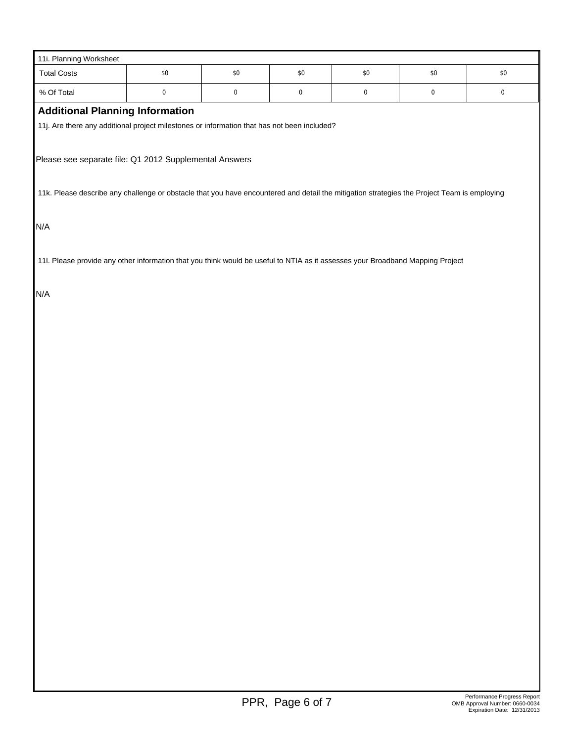| 11i. Planning Worksheet                                                                                                                     |           |           |       |           |           |       |  |  |  |
|---------------------------------------------------------------------------------------------------------------------------------------------|-----------|-----------|-------|-----------|-----------|-------|--|--|--|
| <b>Total Costs</b>                                                                                                                          | \$0       | $\$0$     | $$0$$ | $\$0$     | $\$0$     | $\$0$ |  |  |  |
| % Of Total                                                                                                                                  | $\pmb{0}$ | $\pmb{0}$ | 0     | $\pmb{0}$ | $\pmb{0}$ | 0     |  |  |  |
| <b>Additional Planning Information</b>                                                                                                      |           |           |       |           |           |       |  |  |  |
| 11j. Are there any additional project milestones or information that has not been included?                                                 |           |           |       |           |           |       |  |  |  |
|                                                                                                                                             |           |           |       |           |           |       |  |  |  |
| Please see separate file: Q1 2012 Supplemental Answers                                                                                      |           |           |       |           |           |       |  |  |  |
|                                                                                                                                             |           |           |       |           |           |       |  |  |  |
| 11k. Please describe any challenge or obstacle that you have encountered and detail the mitigation strategies the Project Team is employing |           |           |       |           |           |       |  |  |  |
|                                                                                                                                             |           |           |       |           |           |       |  |  |  |
| N/A                                                                                                                                         |           |           |       |           |           |       |  |  |  |
|                                                                                                                                             |           |           |       |           |           |       |  |  |  |
| 11I. Please provide any other information that you think would be useful to NTIA as it assesses your Broadband Mapping Project              |           |           |       |           |           |       |  |  |  |
|                                                                                                                                             |           |           |       |           |           |       |  |  |  |
| N/A                                                                                                                                         |           |           |       |           |           |       |  |  |  |
|                                                                                                                                             |           |           |       |           |           |       |  |  |  |
|                                                                                                                                             |           |           |       |           |           |       |  |  |  |
|                                                                                                                                             |           |           |       |           |           |       |  |  |  |
|                                                                                                                                             |           |           |       |           |           |       |  |  |  |
|                                                                                                                                             |           |           |       |           |           |       |  |  |  |
|                                                                                                                                             |           |           |       |           |           |       |  |  |  |
|                                                                                                                                             |           |           |       |           |           |       |  |  |  |
|                                                                                                                                             |           |           |       |           |           |       |  |  |  |
|                                                                                                                                             |           |           |       |           |           |       |  |  |  |
|                                                                                                                                             |           |           |       |           |           |       |  |  |  |
|                                                                                                                                             |           |           |       |           |           |       |  |  |  |
|                                                                                                                                             |           |           |       |           |           |       |  |  |  |
|                                                                                                                                             |           |           |       |           |           |       |  |  |  |
|                                                                                                                                             |           |           |       |           |           |       |  |  |  |
|                                                                                                                                             |           |           |       |           |           |       |  |  |  |
|                                                                                                                                             |           |           |       |           |           |       |  |  |  |
|                                                                                                                                             |           |           |       |           |           |       |  |  |  |